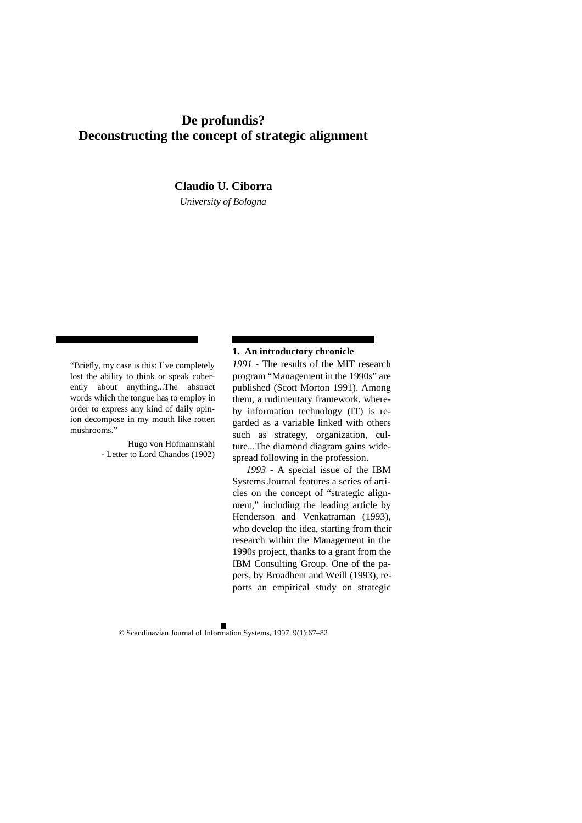# **De profundis? Deconstructing the concept of strategic alignment**

**Claudio U. Ciborra**

*University of Bologna*

"Briefly, my case is this: I've completely lost the ability to think or speak coherently about anything...The abstract words which the tongue has to employ in order to express any kind of daily opinion decompose in my mouth like rotten mushrooms."

> Hugo von Hofmannstahl - Letter to Lord Chandos (1902)

#### **1. An introductory chronicle**

*1991* - The results of the MIT research program "Management in the 1990s" are published (Scott Morton 1991). Among them, a rudimentary framework, whereby information technology (IT) is regarded as a variable linked with others such as strategy, organization, culture...The diamond diagram gains widespread following in the profession.

*1993* - A special issue of the IBM Systems Journal features a series of articles on the concept of "strategic alignment," including the leading article by Henderson and Venkatraman (1993), who develop the idea, starting from their research within the Management in the 1990s project, thanks to a grant from the IBM Consulting Group. One of the papers, by Broadbent and Weill (1993), reports an empirical study on strategic

© Scandinavian Journal of Information Systems, 1997, 9(1):67–82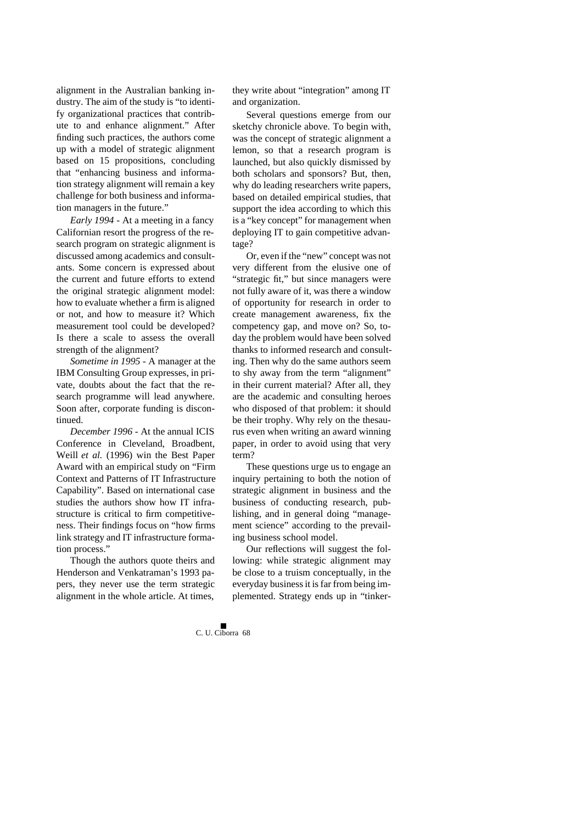alignment in the Australian banking industry. The aim of the study is "to identify organizational practices that contribute to and enhance alignment." After finding such practices, the authors come up with a model of strategic alignment based on 15 propositions, concluding that "enhancing business and information strategy alignment will remain a key challenge for both business and information managers in the future."

*Early 1994* - At a meeting in a fancy Californian resort the progress of the research program on strategic alignment is discussed among academics and consultants. Some concern is expressed about the current and future efforts to extend the original strategic alignment model: how to evaluate whether a firm is aligned or not, and how to measure it? Which measurement tool could be developed? Is there a scale to assess the overall strength of the alignment?

*Sometime in 1995* - A manager at the IBM Consulting Group expresses, in private, doubts about the fact that the research programme will lead anywhere. Soon after, corporate funding is discontinued.

*December 1996* - At the annual ICIS Conference in Cleveland, Broadbent, Weill *et al.* (1996) win the Best Paper Award with an empirical study on "Firm Context and Patterns of IT Infrastructure Capability". Based on international case studies the authors show how IT infrastructure is critical to firm competitiveness. Their findings focus on "how firms link strategy and IT infrastructure formation process."

Though the authors quote theirs and Henderson and Venkatraman's 1993 papers, they never use the term strategic alignment in the whole article. At times,

they write about "integration" among IT and organization.

Several questions emerge from our sketchy chronicle above. To begin with, was the concept of strategic alignment a lemon, so that a research program is launched, but also quickly dismissed by both scholars and sponsors? But, then, why do leading researchers write papers, based on detailed empirical studies, that support the idea according to which this is a "key concept" for management when deploying IT to gain competitive advantage?

Or, even if the "new" concept was not very different from the elusive one of "strategic fit," but since managers were not fully aware of it, was there a window of opportunity for research in order to create management awareness, fix the competency gap, and move on? So, today the problem would have been solved thanks to informed research and consulting. Then why do the same authors seem to shy away from the term "alignment" in their current material? After all, they are the academic and consulting heroes who disposed of that problem: it should be their trophy. Why rely on the thesaurus even when writing an award winning paper, in order to avoid using that very term?

These questions urge us to engage an inquiry pertaining to both the notion of strategic alignment in business and the business of conducting research, publishing, and in general doing "management science" according to the prevailing business school model.

Our reflections will suggest the following: while strategic alignment may be close to a truism conceptually, in the everyday business it is far from being implemented. Strategy ends up in "tinker-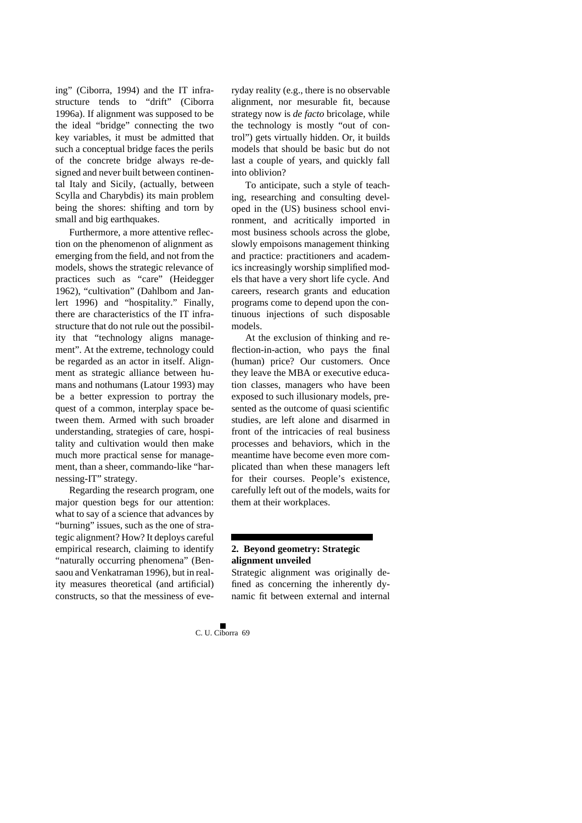ing" (Ciborra, 1994) and the IT infrastructure tends to "drift" (Ciborra 1996a). If alignment was supposed to be the ideal "bridge" connecting the two key variables, it must be admitted that such a conceptual bridge faces the perils of the concrete bridge always re-designed and never built between continental Italy and Sicily, (actually, between Scylla and Charybdis) its main problem being the shores: shifting and torn by small and big earthquakes.

Furthermore, a more attentive reflection on the phenomenon of alignment as emerging from the field, and not from the models, shows the strategic relevance of practices such as "care" (Heidegger 1962), "cultivation" (Dahlbom and Janlert 1996) and "hospitality." Finally, there are characteristics of the IT infrastructure that do not rule out the possibility that "technology aligns management". At the extreme, technology could be regarded as an actor in itself. Alignment as strategic alliance between humans and nothumans (Latour 1993) may be a better expression to portray the quest of a common, interplay space between them. Armed with such broader understanding, strategies of care, hospitality and cultivation would then make much more practical sense for management, than a sheer, commando-like "harnessing-IT" strategy.

Regarding the research program, one major question begs for our attention: what to say of a science that advances by "burning" issues, such as the one of strategic alignment? How? It deploys careful empirical research, claiming to identify "naturally occurring phenomena" (Bensaou and Venkatraman 1996), but in reality measures theoretical (and artificial) constructs, so that the messiness of everyday reality (e.g., there is no observable alignment, nor mesurable fit, because strategy now is *de facto* bricolage, while the technology is mostly "out of control") gets virtually hidden. Or, it builds models that should be basic but do not last a couple of years, and quickly fall into oblivion?

To anticipate, such a style of teaching, researching and consulting developed in the (US) business school environment, and acritically imported in most business schools across the globe, slowly empoisons management thinking and practice: practitioners and academics increasingly worship simplified models that have a very short life cycle. And careers, research grants and education programs come to depend upon the continuous injections of such disposable models.

At the exclusion of thinking and reflection-in-action, who pays the final (human) price? Our customers. Once they leave the MBA or executive education classes, managers who have been exposed to such illusionary models, presented as the outcome of quasi scientific studies, are left alone and disarmed in front of the intricacies of real business processes and behaviors, which in the meantime have become even more complicated than when these managers left for their courses. People's existence, carefully left out of the models, waits for them at their workplaces.

#### **2. Beyond geometry: Strategic alignment unveiled**

Strategic alignment was originally defined as concerning the inherently dynamic fit between external and internal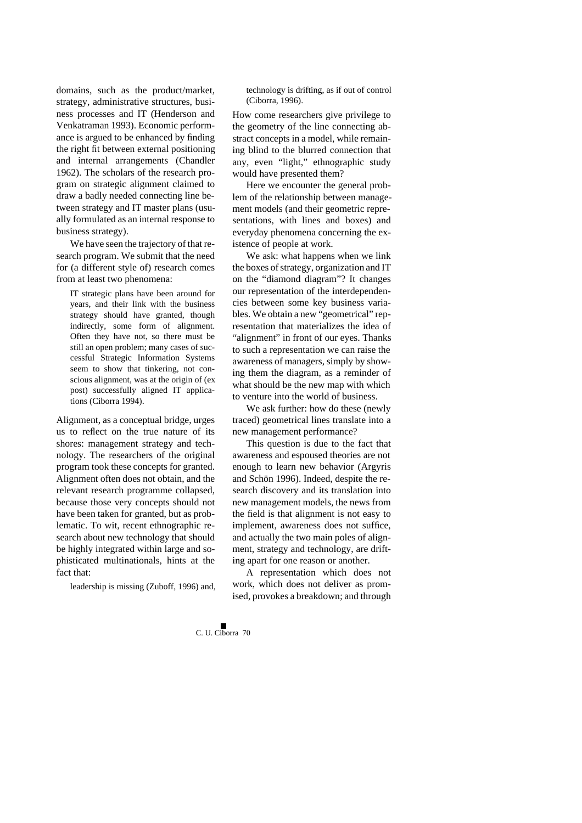domains, such as the product/market, strategy, administrative structures, business processes and IT (Henderson and Venkatraman 1993). Economic performance is argued to be enhanced by finding the right fit between external positioning and internal arrangements (Chandler 1962). The scholars of the research program on strategic alignment claimed to draw a badly needed connecting line between strategy and IT master plans (usually formulated as an internal response to business strategy).

We have seen the trajectory of that research program. We submit that the need for (a different style of) research comes from at least two phenomena:

IT strategic plans have been around for years, and their link with the business strategy should have granted, though indirectly, some form of alignment. Often they have not, so there must be still an open problem; many cases of successful Strategic Information Systems seem to show that tinkering, not conscious alignment, was at the origin of (ex post) successfully aligned IT applications (Ciborra 1994).

Alignment, as a conceptual bridge, urges us to reflect on the true nature of its shores: management strategy and technology. The researchers of the original program took these concepts for granted. Alignment often does not obtain, and the relevant research programme collapsed, because those very concepts should not have been taken for granted, but as problematic. To wit, recent ethnographic research about new technology that should be highly integrated within large and sophisticated multinationals, hints at the fact that:

leadership is missing (Zuboff, 1996) and,

technology is drifting, as if out of control (Ciborra, 1996).

How come researchers give privilege to the geometry of the line connecting abstract concepts in a model, while remaining blind to the blurred connection that any, even "light," ethnographic study would have presented them?

Here we encounter the general problem of the relationship between management models (and their geometric representations, with lines and boxes) and everyday phenomena concerning the existence of people at work.

We ask: what happens when we link the boxes of strategy, organization and IT on the "diamond diagram"? It changes our representation of the interdependencies between some key business variables. We obtain a new "geometrical" representation that materializes the idea of "alignment" in front of our eyes. Thanks to such a representation we can raise the awareness of managers, simply by showing them the diagram, as a reminder of what should be the new map with which to venture into the world of business.

We ask further: how do these (newly traced) geometrical lines translate into a new management performance?

This question is due to the fact that awareness and espoused theories are not enough to learn new behavior (Argyris and Schön 1996). Indeed, despite the research discovery and its translation into new management models, the news from the field is that alignment is not easy to implement, awareness does not suffice, and actually the two main poles of alignment, strategy and technology, are drifting apart for one reason or another.

A representation which does not work, which does not deliver as promised, provokes a breakdown; and through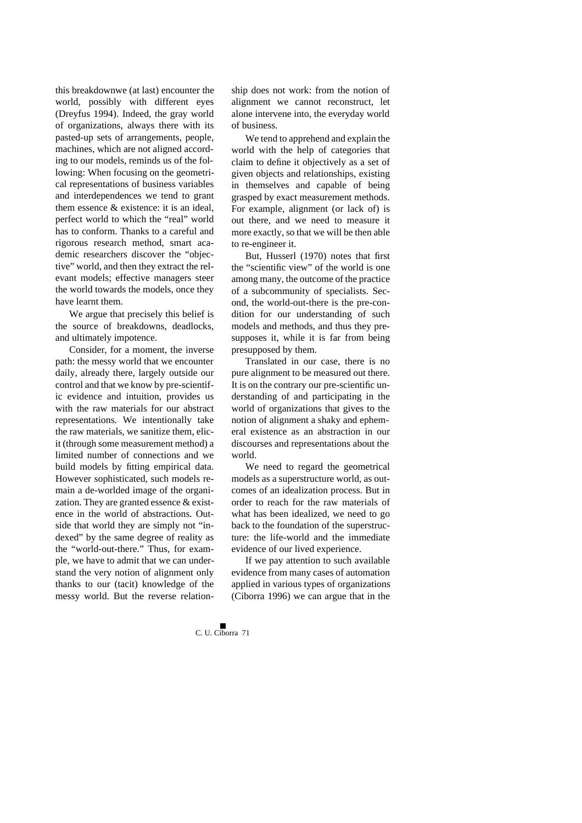this breakdownwe (at last) encounter the world, possibly with different eyes (Dreyfus 1994). Indeed, the gray world of organizations, always there with its pasted-up sets of arrangements, people, machines, which are not aligned according to our models, reminds us of the following: When focusing on the geometrical representations of business variables and interdependences we tend to grant them essence & existence: it is an ideal, perfect world to which the "real" world has to conform. Thanks to a careful and rigorous research method, smart academic researchers discover the "objective" world, and then they extract the relevant models; effective managers steer the world towards the models, once they have learnt them.

We argue that precisely this belief is the source of breakdowns, deadlocks, and ultimately impotence.

Consider, for a moment, the inverse path: the messy world that we encounter daily, already there, largely outside our control and that we know by pre-scientific evidence and intuition, provides us with the raw materials for our abstract representations. We intentionally take the raw materials, we sanitize them, elicit (through some measurement method) a limited number of connections and we build models by fitting empirical data. However sophisticated, such models remain a de-worlded image of the organization. They are granted essence & existence in the world of abstractions. Outside that world they are simply not "indexed" by the same degree of reality as the "world-out-there." Thus, for example, we have to admit that we can understand the very notion of alignment only thanks to our (tacit) knowledge of the messy world. But the reverse relationship does not work: from the notion of alignment we cannot reconstruct, let alone intervene into, the everyday world of business.

We tend to apprehend and explain the world with the help of categories that claim to define it objectively as a set of given objects and relationships, existing in themselves and capable of being grasped by exact measurement methods. For example, alignment (or lack of) is out there, and we need to measure it more exactly, so that we will be then able to re-engineer it.

But, Husserl (1970) notes that first the "scientific view" of the world is one among many, the outcome of the practice of a subcommunity of specialists. Second, the world-out-there is the pre-condition for our understanding of such models and methods, and thus they presupposes it, while it is far from being presupposed by them.

Translated in our case, there is no pure alignment to be measured out there. It is on the contrary our pre-scientific understanding of and participating in the world of organizations that gives to the notion of alignment a shaky and ephemeral existence as an abstraction in our discourses and representations about the world.

We need to regard the geometrical models as a superstructure world, as outcomes of an idealization process. But in order to reach for the raw materials of what has been idealized, we need to go back to the foundation of the superstructure: the life-world and the immediate evidence of our lived experience.

If we pay attention to such available evidence from many cases of automation applied in various types of organizations (Ciborra 1996) we can argue that in the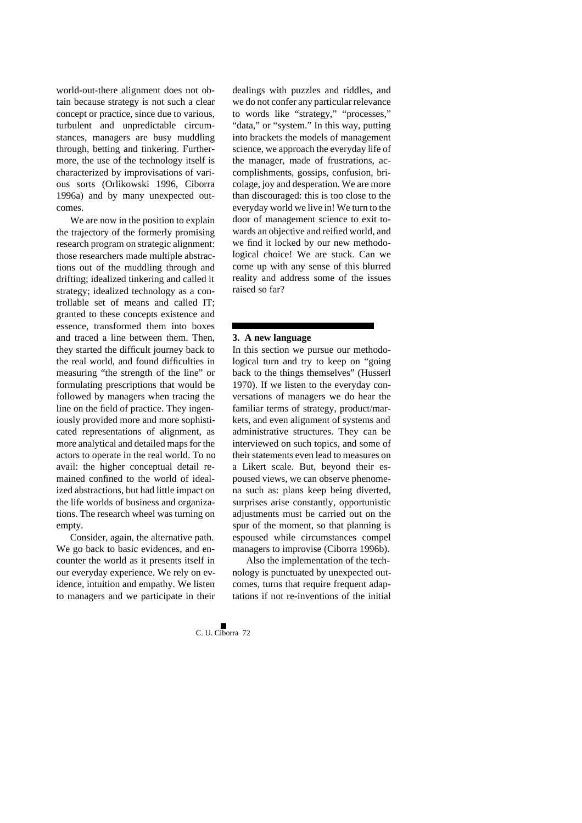world-out-there alignment does not obtain because strategy is not such a clear concept or practice, since due to various, turbulent and unpredictable circumstances, managers are busy muddling through, betting and tinkering. Furthermore, the use of the technology itself is characterized by improvisations of various sorts (Orlikowski 1996, Ciborra 1996a) and by many unexpected outcomes.

We are now in the position to explain the trajectory of the formerly promising research program on strategic alignment: those researchers made multiple abstractions out of the muddling through and drifting; idealized tinkering and called it strategy; idealized technology as a controllable set of means and called IT; granted to these concepts existence and essence, transformed them into boxes and traced a line between them. Then, they started the difficult journey back to the real world, and found difficulties in measuring "the strength of the line" or formulating prescriptions that would be followed by managers when tracing the line on the field of practice. They ingeniously provided more and more sophisticated representations of alignment, as more analytical and detailed maps for the actors to operate in the real world. To no avail: the higher conceptual detail remained confined to the world of idealized abstractions, but had little impact on the life worlds of business and organizations. The research wheel was turning on empty.

Consider, again, the alternative path. We go back to basic evidences, and encounter the world as it presents itself in our everyday experience. We rely on evidence, intuition and empathy. We listen to managers and we participate in their dealings with puzzles and riddles, and we do not confer any particular relevance to words like "strategy," "processes," "data," or "system." In this way, putting into brackets the models of management science, we approach the everyday life of the manager, made of frustrations, accomplishments, gossips, confusion, bricolage, joy and desperation. We are more than discouraged: this is too close to the everyday world we live in! We turn to the door of management science to exit towards an objective and reified world, and we find it locked by our new methodological choice! We are stuck. Can we come up with any sense of this blurred reality and address some of the issues raised so far?

#### **3. A new language**

In this section we pursue our methodological turn and try to keep on "going back to the things themselves" (Husserl 1970). If we listen to the everyday conversations of managers we do hear the familiar terms of strategy, product/markets, and even alignment of systems and administrative structures. They can be interviewed on such topics, and some of their statements even lead to measures on a Likert scale. But, beyond their espoused views, we can observe phenomena such as: plans keep being diverted, surprises arise constantly, opportunistic adjustments must be carried out on the spur of the moment, so that planning is espoused while circumstances compel managers to improvise (Ciborra 1996b).

Also the implementation of the technology is punctuated by unexpected outcomes, turns that require frequent adaptations if not re-inventions of the initial

 $\Box$  Ciborra 72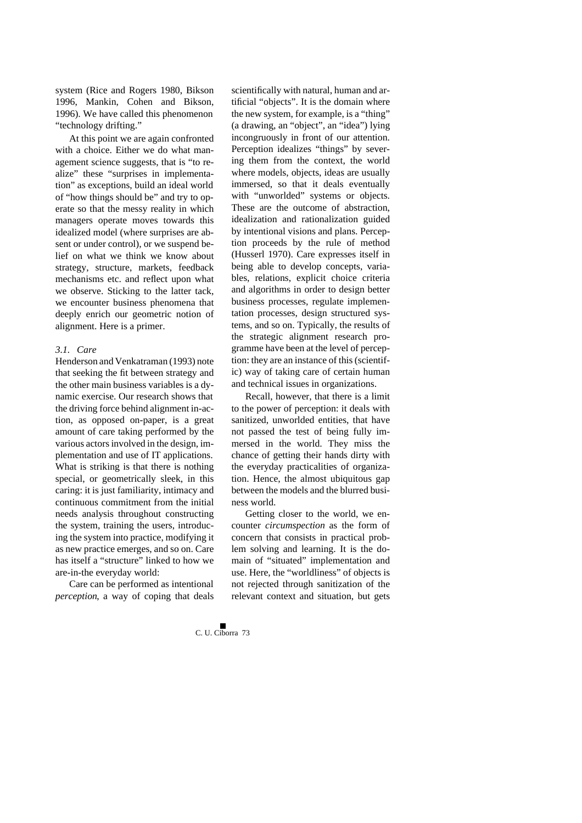system (Rice and Rogers 1980, Bikson 1996, Mankin, Cohen and Bikson, 1996). We have called this phenomenon "technology drifting."

At this point we are again confronted with a choice. Either we do what management science suggests, that is "to realize" these "surprises in implementation" as exceptions, build an ideal world of "how things should be" and try to operate so that the messy reality in which managers operate moves towards this idealized model (where surprises are absent or under control), or we suspend belief on what we think we know about strategy, structure, markets, feedback mechanisms etc. and reflect upon what we observe. Sticking to the latter tack, we encounter business phenomena that deeply enrich our geometric notion of alignment. Here is a primer.

### *3.1. Care*

Henderson and Venkatraman (1993) note that seeking the fit between strategy and the other main business variables is a dynamic exercise. Our research shows that the driving force behind alignment in-action, as opposed on-paper, is a great amount of care taking performed by the various actors involved in the design, implementation and use of IT applications. What is striking is that there is nothing special, or geometrically sleek, in this caring: it is just familiarity, intimacy and continuous commitment from the initial needs analysis throughout constructing the system, training the users, introducing the system into practice, modifying it as new practice emerges, and so on. Care has itself a "structure" linked to how we are-in-the everyday world:

Care can be performed as intentional *perception*, a way of coping that deals scientifically with natural, human and artificial "objects". It is the domain where the new system, for example, is a "thing" (a drawing, an "object", an "idea") lying incongruously in front of our attention. Perception idealizes "things" by severing them from the context, the world where models, objects, ideas are usually immersed, so that it deals eventually with "unworlded" systems or objects. These are the outcome of abstraction, idealization and rationalization guided by intentional visions and plans. Perception proceeds by the rule of method (Husserl 1970). Care expresses itself in being able to develop concepts, variables, relations, explicit choice criteria and algorithms in order to design better business processes, regulate implementation processes, design structured systems, and so on. Typically, the results of the strategic alignment research programme have been at the level of perception: they are an instance of this (scientific) way of taking care of certain human and technical issues in organizations.

Recall, however, that there is a limit to the power of perception: it deals with sanitized, unworlded entities, that have not passed the test of being fully immersed in the world. They miss the chance of getting their hands dirty with the everyday practicalities of organization. Hence, the almost ubiquitous gap between the models and the blurred business world.

Getting closer to the world, we encounter *circumspection* as the form of concern that consists in practical problem solving and learning. It is the domain of "situated" implementation and use. Here, the "worldliness" of objects is not rejected through sanitization of the relevant context and situation, but gets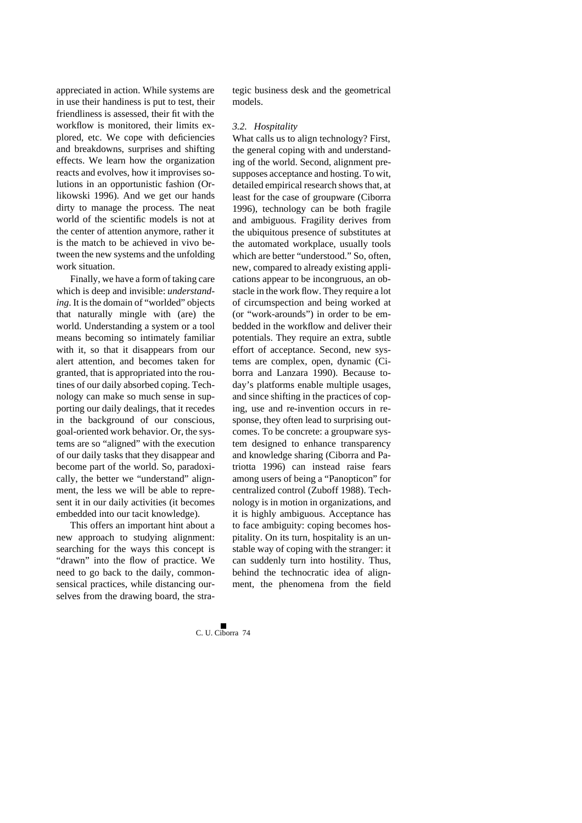appreciated in action. While systems are in use their handiness is put to test, their friendliness is assessed, their fit with the workflow is monitored, their limits explored, etc. We cope with deficiencies and breakdowns, surprises and shifting effects. We learn how the organization reacts and evolves, how it improvises solutions in an opportunistic fashion (Orlikowski 1996). And we get our hands dirty to manage the process. The neat world of the scientific models is not at the center of attention anymore, rather it is the match to be achieved in vivo between the new systems and the unfolding work situation.

Finally, we have a form of taking care which is deep and invisible: *understanding*. It is the domain of "worlded" objects that naturally mingle with (are) the world. Understanding a system or a tool means becoming so intimately familiar with it, so that it disappears from our alert attention, and becomes taken for granted, that is appropriated into the routines of our daily absorbed coping. Technology can make so much sense in supporting our daily dealings, that it recedes in the background of our conscious, goal-oriented work behavior. Or, the systems are so "aligned" with the execution of our daily tasks that they disappear and become part of the world. So, paradoxically, the better we "understand" alignment, the less we will be able to represent it in our daily activities (it becomes embedded into our tacit knowledge).

This offers an important hint about a new approach to studying alignment: searching for the ways this concept is "drawn" into the flow of practice. We need to go back to the daily, commonsensical practices, while distancing ourselves from the drawing board, the strategic business desk and the geometrical models.

#### *3.2. Hospitality*

What calls us to align technology? First, the general coping with and understanding of the world. Second, alignment presupposes acceptance and hosting. To wit, detailed empirical research shows that, at least for the case of groupware (Ciborra 1996), technology can be both fragile and ambiguous. Fragility derives from the ubiquitous presence of substitutes at the automated workplace, usually tools which are better "understood." So, often, new, compared to already existing applications appear to be incongruous, an obstacle in the work flow. They require a lot of circumspection and being worked at (or "work-arounds") in order to be embedded in the workflow and deliver their potentials. They require an extra, subtle effort of acceptance. Second, new systems are complex, open, dynamic (Ciborra and Lanzara 1990). Because today's platforms enable multiple usages, and since shifting in the practices of coping, use and re-invention occurs in response, they often lead to surprising outcomes. To be concrete: a groupware system designed to enhance transparency and knowledge sharing (Ciborra and Patriotta 1996) can instead raise fears among users of being a "Panopticon" for centralized control (Zuboff 1988). Technology is in motion in organizations, and it is highly ambiguous. Acceptance has to face ambiguity: coping becomes hospitality. On its turn, hospitality is an unstable way of coping with the stranger: it can suddenly turn into hostility. Thus, behind the technocratic idea of alignment, the phenomena from the field

 $\overline{C}$ . U. Ciborra 74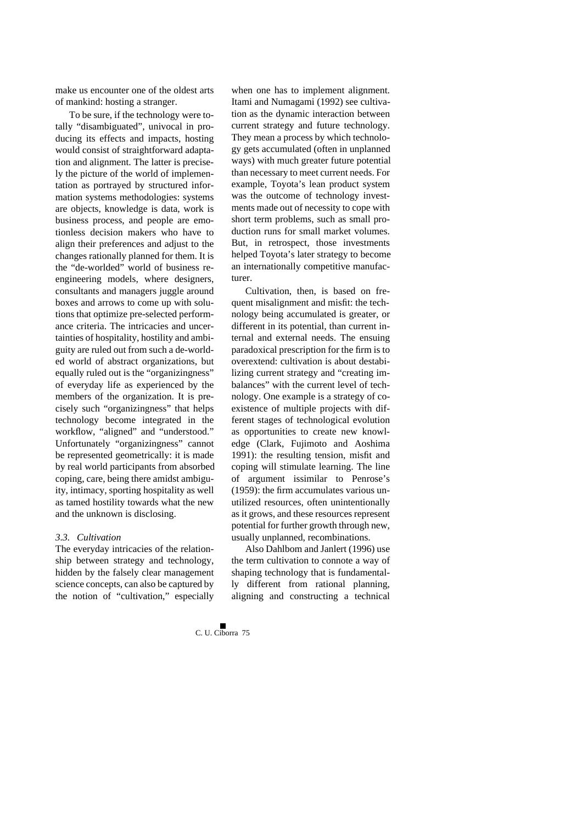make us encounter one of the oldest arts of mankind: hosting a stranger.

To be sure, if the technology were totally "disambiguated", univocal in producing its effects and impacts, hosting would consist of straightforward adaptation and alignment. The latter is precisely the picture of the world of implementation as portrayed by structured information systems methodologies: systems are objects, knowledge is data, work is business process, and people are emotionless decision makers who have to align their preferences and adjust to the changes rationally planned for them. It is the "de-worlded" world of business reengineering models, where designers, consultants and managers juggle around boxes and arrows to come up with solutions that optimize pre-selected performance criteria. The intricacies and uncertainties of hospitality, hostility and ambiguity are ruled out from such a de-worlded world of abstract organizations, but equally ruled out is the "organizingness" of everyday life as experienced by the members of the organization. It is precisely such "organizingness" that helps technology become integrated in the workflow, "aligned" and "understood." Unfortunately "organizingness" cannot be represented geometrically: it is made by real world participants from absorbed coping, care, being there amidst ambiguity, intimacy, sporting hospitality as well as tamed hostility towards what the new and the unknown is disclosing.

#### *3.3. Cultivation*

The everyday intricacies of the relationship between strategy and technology, hidden by the falsely clear management science concepts, can also be captured by the notion of "cultivation," especially when one has to implement alignment. Itami and Numagami (1992) see cultivation as the dynamic interaction between current strategy and future technology. They mean a process by which technology gets accumulated (often in unplanned ways) with much greater future potential than necessary to meet current needs. For example, Toyota's lean product system was the outcome of technology investments made out of necessity to cope with short term problems, such as small production runs for small market volumes. But, in retrospect, those investments helped Toyota's later strategy to become an internationally competitive manufacturer.

Cultivation, then, is based on frequent misalignment and misfit: the technology being accumulated is greater, or different in its potential, than current internal and external needs. The ensuing paradoxical prescription for the firm is to overextend: cultivation is about destabilizing current strategy and "creating imbalances" with the current level of technology. One example is a strategy of coexistence of multiple projects with different stages of technological evolution as opportunities to create new knowledge (Clark, Fujimoto and Aoshima 1991): the resulting tension, misfit and coping will stimulate learning. The line of argument issimilar to Penrose's (1959): the firm accumulates various unutilized resources, often unintentionally as it grows, and these resources represent potential for further growth through new, usually unplanned, recombinations.

Also Dahlbom and Janlert (1996) use the term cultivation to connote a way of shaping technology that is fundamentally different from rational planning, aligning and constructing a technical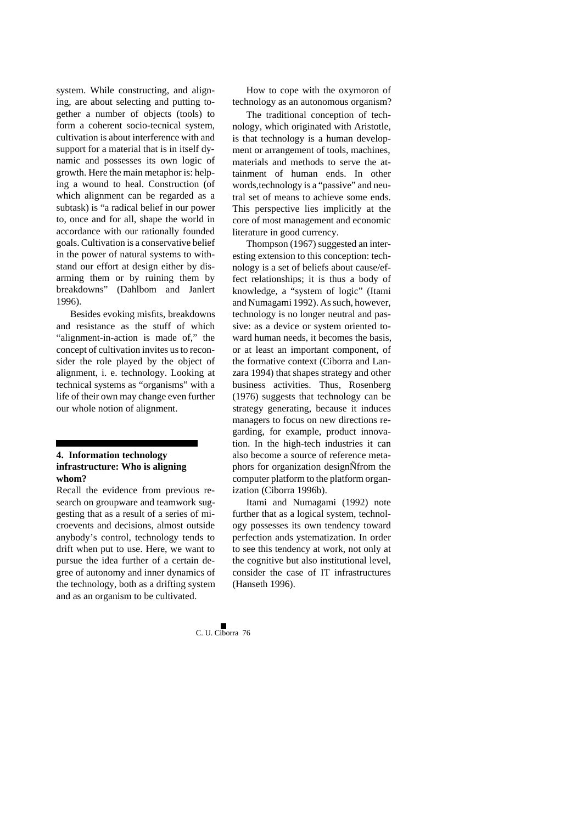system. While constructing, and aligning, are about selecting and putting together a number of objects (tools) to form a coherent socio-tecnical system, cultivation is about interference with and support for a material that is in itself dynamic and possesses its own logic of growth. Here the main metaphor is: helping a wound to heal. Construction (of which alignment can be regarded as a subtask) is "a radical belief in our power to, once and for all, shape the world in accordance with our rationally founded goals. Cultivation is a conservative belief in the power of natural systems to withstand our effort at design either by disarming them or by ruining them by breakdowns" (Dahlbom and Janlert 1996).

Besides evoking misfits, breakdowns and resistance as the stuff of which "alignment-in-action is made of," the concept of cultivation invites us to reconsider the role played by the object of alignment, i. e. technology. Looking at technical systems as "organisms" with a life of their own may change even further our whole notion of alignment.

## **4. Information technology infrastructure: Who is aligning whom?**

Recall the evidence from previous research on groupware and teamwork suggesting that as a result of a series of microevents and decisions, almost outside anybody's control, technology tends to drift when put to use. Here, we want to pursue the idea further of a certain degree of autonomy and inner dynamics of the technology, both as a drifting system and as an organism to be cultivated.

How to cope with the oxymoron of technology as an autonomous organism?

The traditional conception of technology, which originated with Aristotle, is that technology is a human development or arrangement of tools, machines, materials and methods to serve the attainment of human ends. In other words,technology is a "passive" and neutral set of means to achieve some ends. This perspective lies implicitly at the core of most management and economic literature in good currency.

Thompson (1967) suggested an interesting extension to this conception: technology is a set of beliefs about cause/effect relationships; it is thus a body of knowledge, a "system of logic" (Itami and Numagami 1992). As such, however, technology is no longer neutral and passive: as a device or system oriented toward human needs, it becomes the basis, or at least an important component, of the formative context (Ciborra and Lanzara 1994) that shapes strategy and other business activities. Thus, Rosenberg (1976) suggests that technology can be strategy generating, because it induces managers to focus on new directions regarding, for example, product innovation. In the high-tech industries it can also become a source of reference metaphors for organization designÑfrom the computer platform to the platform organization (Ciborra 1996b).

Itami and Numagami (1992) note further that as a logical system, technology possesses its own tendency toward perfection ands ystematization. In order to see this tendency at work, not only at the cognitive but also institutional level, consider the case of IT infrastructures (Hanseth 1996).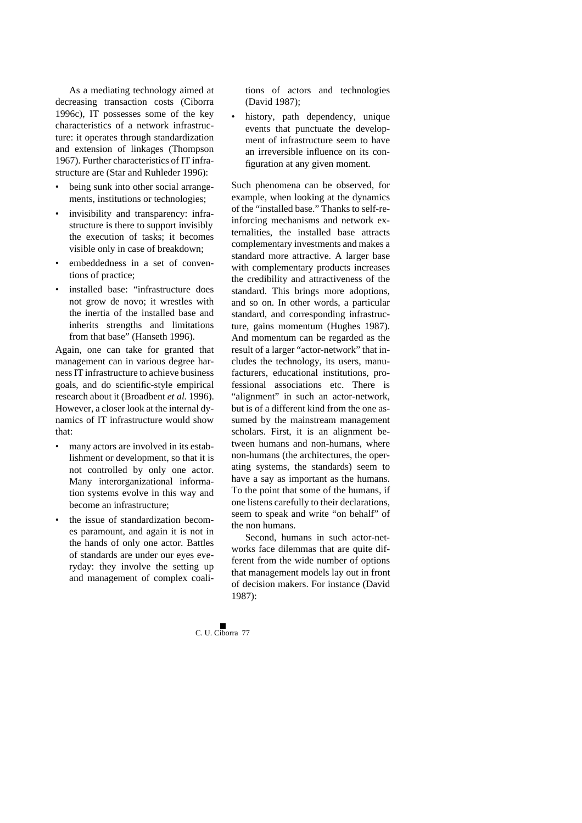As a mediating technology aimed at decreasing transaction costs (Ciborra 1996c), IT possesses some of the key characteristics of a network infrastructure: it operates through standardization and extension of linkages (Thompson 1967). Further characteristics of IT infrastructure are (Star and Ruhleder 1996):

- being sunk into other social arrangements, institutions or technologies;
- invisibility and transparency: infrastructure is there to support invisibly the execution of tasks; it becomes visible only in case of breakdown;
- embeddedness in a set of conventions of practice;
- installed base: "infrastructure does not grow de novo; it wrestles with the inertia of the installed base and inherits strengths and limitations from that base" (Hanseth 1996).

Again, one can take for granted that management can in various degree harness IT infrastructure to achieve business goals, and do scientific-style empirical research about it (Broadbent *et al.* 1996). However, a closer look at the internal dynamics of IT infrastructure would show that:

- many actors are involved in its establishment or development, so that it is not controlled by only one actor. Many interorganizational information systems evolve in this way and become an infrastructure;
- the issue of standardization becomes paramount, and again it is not in the hands of only one actor. Battles of standards are under our eyes everyday: they involve the setting up and management of complex coali-

tions of actors and technologies (David 1987);

• history, path dependency, unique events that punctuate the development of infrastructure seem to have an irreversible influence on its configuration at any given moment.

Such phenomena can be observed, for example, when looking at the dynamics of the "installed base." Thanks to self-reinforcing mechanisms and network externalities, the installed base attracts complementary investments and makes a standard more attractive. A larger base with complementary products increases the credibility and attractiveness of the standard. This brings more adoptions, and so on. In other words, a particular standard, and corresponding infrastructure, gains momentum (Hughes 1987). And momentum can be regarded as the result of a larger "actor-network" that includes the technology, its users, manufacturers, educational institutions, professional associations etc. There is "alignment" in such an actor-network, but is of a different kind from the one assumed by the mainstream management scholars. First, it is an alignment between humans and non-humans, where non-humans (the architectures, the operating systems, the standards) seem to have a say as important as the humans. To the point that some of the humans, if one listens carefully to their declarations, seem to speak and write "on behalf" of the non humans.

Second, humans in such actor-networks face dilemmas that are quite different from the wide number of options that management models lay out in front of decision makers. For instance (David 1987):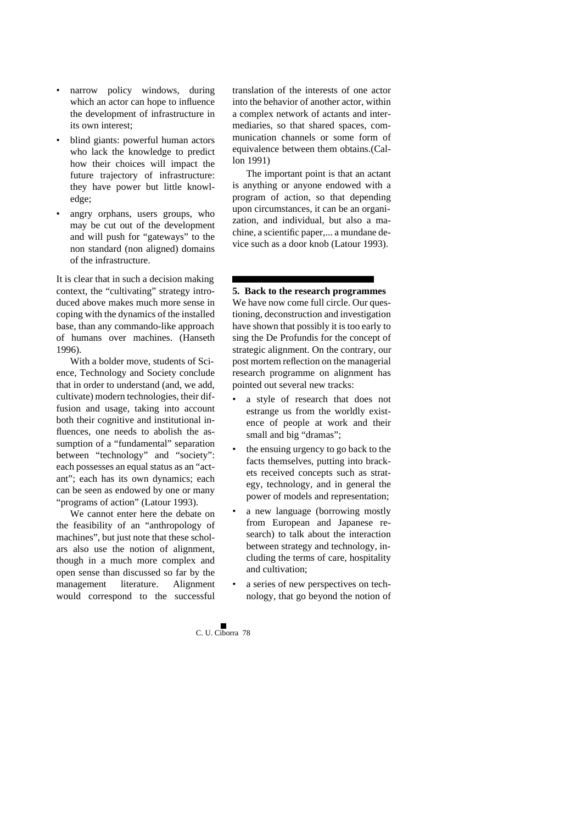- narrow policy windows, during which an actor can hope to influence the development of infrastructure in its own interest;
- blind giants: powerful human actors who lack the knowledge to predict how their choices will impact the future trajectory of infrastructure: they have power but little knowledge;
- angry orphans, users groups, who may be cut out of the development and will push for "gateways" to the non standard (non aligned) domains of the infrastructure.

It is clear that in such a decision making context, the "cultivating" strategy introduced above makes much more sense in coping with the dynamics of the installed base, than any commando-like approach of humans over machines. (Hanseth 1996).

With a bolder move, students of Science, Technology and Society conclude that in order to understand (and, we add, cultivate) modern technologies, their diffusion and usage, taking into account both their cognitive and institutional influences, one needs to abolish the assumption of a "fundamental" separation between "technology" and "society": each possesses an equal status as an "actant"; each has its own dynamics; each can be seen as endowed by one or many "programs of action" (Latour 1993).

We cannot enter here the debate on the feasibility of an "anthropology of machines", but just note that these scholars also use the notion of alignment, though in a much more complex and open sense than discussed so far by the management literature. Alignment would correspond to the successful translation of the interests of one actor into the behavior of another actor, within a complex network of actants and intermediaries, so that shared spaces, communication channels or some form of equivalence between them obtains.(Callon 1991)

The important point is that an actant is anything or anyone endowed with a program of action, so that depending upon circumstances, it can be an organization, and individual, but also a machine, a scientific paper,... a mundane device such as a door knob (Latour 1993).

## **5. Back to the research programmes**

We have now come full circle. Our questioning, deconstruction and investigation have shown that possibly it is too early to sing the De Profundis for the concept of strategic alignment. On the contrary, our post mortem reflection on the managerial research programme on alignment has pointed out several new tracks:

- a style of research that does not estrange us from the worldly existence of people at work and their small and big "dramas";
- the ensuing urgency to go back to the facts themselves, putting into brackets received concepts such as strategy, technology, and in general the power of models and representation;
- a new language (borrowing mostly from European and Japanese research) to talk about the interaction between strategy and technology, including the terms of care, hospitality and cultivation;
- a series of new perspectives on technology, that go beyond the notion of

 $\Box$  Ciborra 78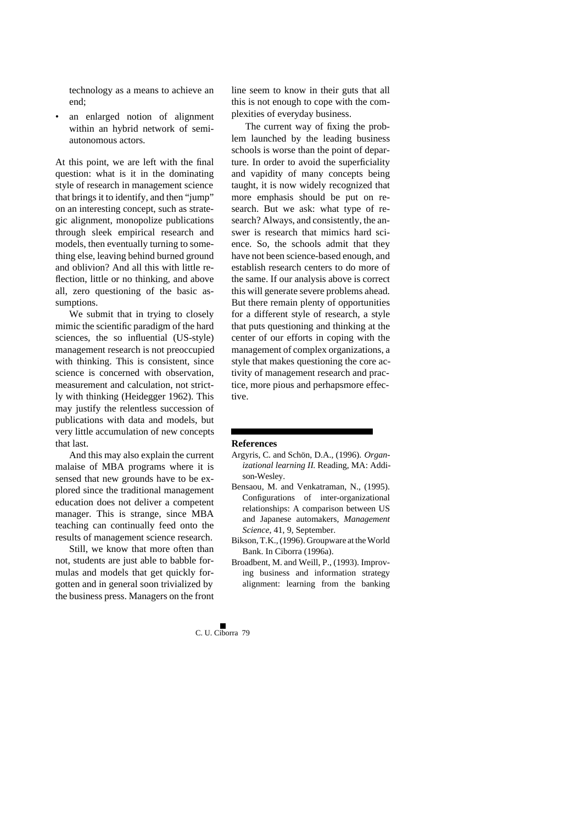technology as a means to achieve an end;

an enlarged notion of alignment within an hybrid network of semiautonomous actors.

At this point, we are left with the final question: what is it in the dominating style of research in management science that brings it to identify, and then "jump" on an interesting concept, such as strategic alignment, monopolize publications through sleek empirical research and models, then eventually turning to something else, leaving behind burned ground and oblivion? And all this with little reflection, little or no thinking, and above all, zero questioning of the basic assumptions.

We submit that in trying to closely mimic the scientific paradigm of the hard sciences, the so influential (US-style) management research is not preoccupied with thinking. This is consistent, since science is concerned with observation, measurement and calculation, not strictly with thinking (Heidegger 1962). This may justify the relentless succession of publications with data and models, but very little accumulation of new concepts that last.

And this may also explain the current malaise of MBA programs where it is sensed that new grounds have to be explored since the traditional management education does not deliver a competent manager. This is strange, since MBA teaching can continually feed onto the results of management science research.

Still, we know that more often than not, students are just able to babble formulas and models that get quickly forgotten and in general soon trivialized by the business press. Managers on the front line seem to know in their guts that all this is not enough to cope with the complexities of everyday business.

The current way of fixing the problem launched by the leading business schools is worse than the point of departure. In order to avoid the superficiality and vapidity of many concepts being taught, it is now widely recognized that more emphasis should be put on research. But we ask: what type of research? Always, and consistently, the answer is research that mimics hard science. So, the schools admit that they have not been science-based enough, and establish research centers to do more of the same. If our analysis above is correct this will generate severe problems ahead. But there remain plenty of opportunities for a different style of research, a style that puts questioning and thinking at the center of our efforts in coping with the management of complex organizations, a style that makes questioning the core activity of management research and practice, more pious and perhapsmore effective.

#### **References**

- Argyris, C. and Schön, D.A., (1996). *Organizational learning II*. Reading, MA: Addison-Wesley.
- Bensaou, M. and Venkatraman, N., (1995). Configurations of inter-organizational relationships: A comparison between US and Japanese automakers, *Management Science*, 41, 9, September.
- Bikson, T.K., (1996). Groupware at the World Bank. In Ciborra (1996a).
- Broadbent, M. and Weill, P., (1993). Improving business and information strategy alignment: learning from the banking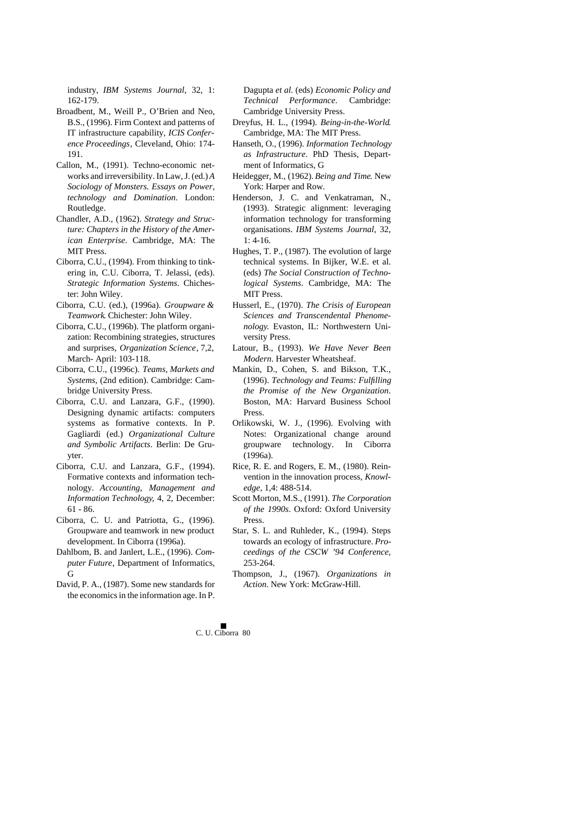industry, *IBM Systems Journal*, 32, 1: 162-179.

- Broadbent, M., Weill P., O'Brien and Neo, B.S., (1996). Firm Context and patterns of IT infrastructure capability, *ICIS Conference Proceedings*, Cleveland, Ohio: 174- 191.
- Callon, M., (1991). Techno-economic networks and irreversibility. In Law, J. (ed.) *A Sociology of Monsters. Essays on Power, technology and Domination*. London: Routledge.
- Chandler, A.D., (1962). *Strategy and Structure: Chapters in the History of the American Enterprise*. Cambridge, MA: The MIT Press.
- Ciborra, C.U., (1994). From thinking to tinkering in, C.U. Ciborra, T. Jelassi, (eds). *Strategic Information Systems*. Chichester: John Wiley.
- Ciborra, C.U. (ed.), (1996a). *Groupware & Teamwork*. Chichester: John Wiley.
- Ciborra, C.U., (1996b). The platform organization: Recombining strategies, structures and surprises, *Organization Science*, 7,2, March- April: 103-118.
- Ciborra, C.U., (1996c). *Teams, Markets and Systems*, (2nd edition). Cambridge: Cambridge University Press.
- Ciborra, C.U. and Lanzara, G.F., (1990). Designing dynamic artifacts: computers systems as formative contexts. In P. Gagliardi (ed.) *Organizational Culture and Symbolic Artifacts*. Berlin: De Gruyter.
- Ciborra, C.U. and Lanzara, G.F., (1994). Formative contexts and information technology. *Accounting, Management and Information Technology*, 4, 2, December: 61 - 86.
- Ciborra, C. U. and Patriotta, G., (1996). Groupware and teamwork in new product development. In Ciborra (1996a).
- Dahlbom, B. and Janlert, L.E., (1996). *Computer Future*, Department of Informatics, G
- David, P. A., (1987). Some new standards for the economics in the information age. In P.

Dagupta *et al.* (eds) *Economic Policy and Technical Performance*. Cambridge: Cambridge University Press.

- Dreyfus, H. L., (1994). *Being-in-the-World*. Cambridge, MA: The MIT Press.
- Hanseth, O., (1996). *Information Technology as Infrastructure*. PhD Thesis, Department of Informatics, G
- Heidegger, M., (1962). *Being and Time*. New York: Harper and Row.
- Henderson, J. C. and Venkatraman, N., (1993). Strategic alignment: leveraging information technology for transforming organisations. *IBM Systems Journal*, 32, 1: 4-16.
- Hughes, T. P., (1987). The evolution of large technical systems. In Bijker, W.E. et al. (eds) *The Social Construction of Technological Systems*. Cambridge, MA: The MIT Press.
- Husserl, E., (1970). *The Crisis of European Sciences and Transcendental Phenomenology*. Evaston, IL: Northwestern University Press.
- Latour, B., (1993). *We Have Never Been Modern*. Harvester Wheatsheaf.
- Mankin, D., Cohen, S. and Bikson, T.K., (1996). *Technology and Teams: Fulfilling the Promise of the New Organization*. Boston, MA: Harvard Business School Press.
- Orlikowski, W. J., (1996). Evolving with Notes: Organizational change around groupware technology. In Ciborra (1996a).
- Rice, R. E. and Rogers, E. M., (1980). Reinvention in the innovation process, *Knowledge*, 1,4: 488-514.
- Scott Morton, M.S., (1991). *The Corporation of the 1990s*. Oxford: Oxford University Press.
- Star, S. L. and Ruhleder, K., (1994). Steps towards an ecology of infrastructure. *Proceedings of the CSCW '94 Conference*, 253-264.
- Thompson, J., (1967). *Organizations in Action*. New York: McGraw-Hill.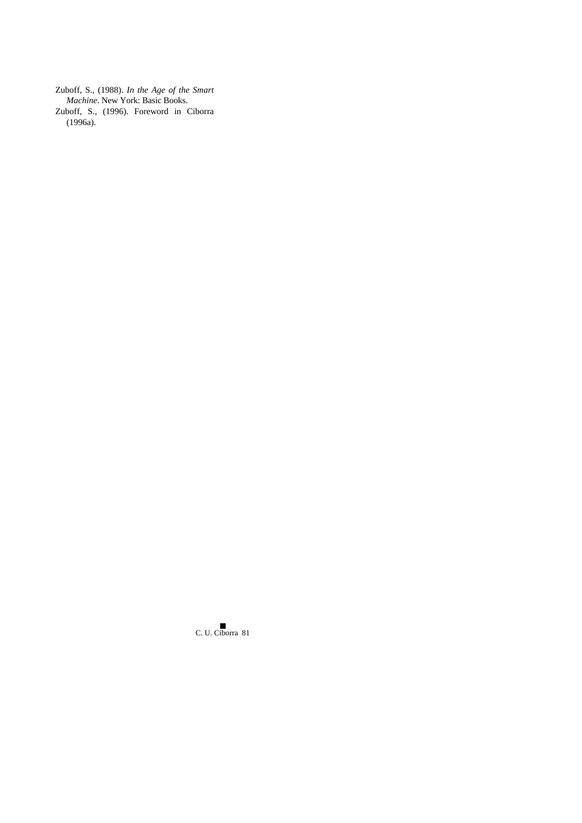Zuboff, S., (1988). *In the Age of the Smart Machine*. New York: Basic Books.

Zuboff, S., (1996). Foreword in Ciborra (1996a).